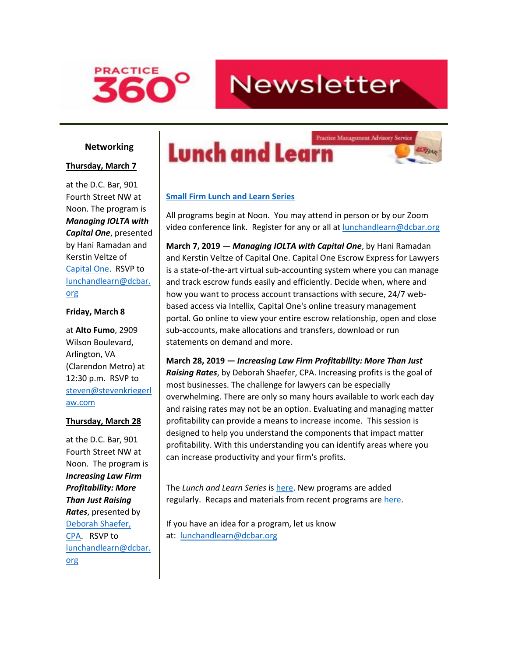

# **Newsletter**

# **Networking**

#### **Thursday, March 7**

at the D.C. Bar, 901 Fourth Street NW at Noon. The program is *Managing IOLTA with Capital One*, presented by Hani Ramadan and Kerstin Veltze of [Capital One.](http://www.mmsend31.com/link.cfm?r=nvs4hKlVbQmYRj0_i_v9vA~~&pe=l-wSJp2ggYBF2iuV-_2AQbbZwA3VGvAw4hro-NEjlYSjt6spx-QsWOv9Vp2j7YsgZgvZ6gRgfYDW1mE4Nkwb4w~~&t=tRHHeR2UgeCCgM4DgutCsQ~~) RSVP to [lunchandlearn@dcbar.](mailto:lunchandlearn@dcbar.org) [org](mailto:lunchandlearn@dcbar.org)

#### **Friday, March 8**

at **Alto Fumo**, 2909 Wilson Boulevard, Arlington, VA (Clarendon Metro) at 12:30 p.m. RSVP to [steven@stevenkriegerl](mailto:steven@stevenkriegerlaw.com) [aw.com](mailto:steven@stevenkriegerlaw.com)

#### **Thursday, March 28**

at the D.C. Bar, 901 Fourth Street NW at Noon. The program is *Increasing Law Firm Profitability: More Than Just Raising Rates*, presented by [Deborah Shaefer,](http://www.mmsend31.com/link.cfm?r=nvs4hKlVbQmYRj0_i_v9vA~~&pe=7Pcy4LIcbZD_V0Jge-uC2XakNjbASuoiO6IKVzrh9UCHRRFJN63Wbwq1hXrr5NTwXHUdOoTn0HiyoaNMhpmNJA~~&t=tRHHeR2UgeCCgM4DgutCsQ~~)  [CPA.](http://www.mmsend31.com/link.cfm?r=nvs4hKlVbQmYRj0_i_v9vA~~&pe=7Pcy4LIcbZD_V0Jge-uC2XakNjbASuoiO6IKVzrh9UCHRRFJN63Wbwq1hXrr5NTwXHUdOoTn0HiyoaNMhpmNJA~~&t=tRHHeR2UgeCCgM4DgutCsQ~~) RSVP to [lunchandlearn@dcbar.](mailto:lunchandlearn@dcbar.org) [org](mailto:lunchandlearn@dcbar.org)





All programs begin at Noon. You may attend in person or by our Zoom video conference link. Register for any or all at **lunchandlearn@dcbar.org** 

**March 7, 2019 —** *Managing IOLTA with Capital One*, by Hani Ramadan and Kerstin Veltze of Capital One. Capital One Escrow Express for Lawyers is a state-of-the-art virtual sub-accounting system where you can manage and track escrow funds easily and efficiently. Decide when, where and how you want to process account transactions with secure, 24/7 webbased access via Intellix, Capital One's online treasury management portal. Go online to view your entire escrow relationship, open and close sub-accounts, make allocations and transfers, download or run statements on demand and more.

**March 28, 2019 —** *Increasing Law Firm Profitability: More Than Just Raising Rates*, by Deborah Shaefer, CPA. Increasing profits is the goal of most businesses. The challenge for lawyers can be especially overwhelming. There are only so many hours available to work each day and raising rates may not be an option. Evaluating and managing matter profitability can provide a means to increase income. This session is designed to help you understand the components that impact matter profitability. With this understanding you can identify areas where you can increase productivity and your firm's profits.

The *Lunch and Learn Series* is [here.](http://www.mmsend31.com/link.cfm?r=nvs4hKlVbQmYRj0_i_v9vA~~&pe=SHBtekJ0cJ_7NmY6f7oZ9KxNMRcKn604-dEqnIeL_Cm92gY5gPscQAnEXgE6oB_eebab1t6rvGH7npOuFzZNVA~~&t=tRHHeR2UgeCCgM4DgutCsQ~~) New programs are added regularly. Recaps and materials from recent programs are [here.](http://www.mmsend31.com/link.cfm?r=nvs4hKlVbQmYRj0_i_v9vA~~&pe=dlux38b-iFg5Lr5-UWpuV83jgOQDO5zMK-2UNN8gHWJAv83QFriK-mrXrx1Cyta4ulkWUOAdOLLYJUux_MBifg~~&t=tRHHeR2UgeCCgM4DgutCsQ~~)

If you have an idea for a program, let us know at: [lunchandlearn@dcbar.org](mailto:lunchandlearn@dcbar.org)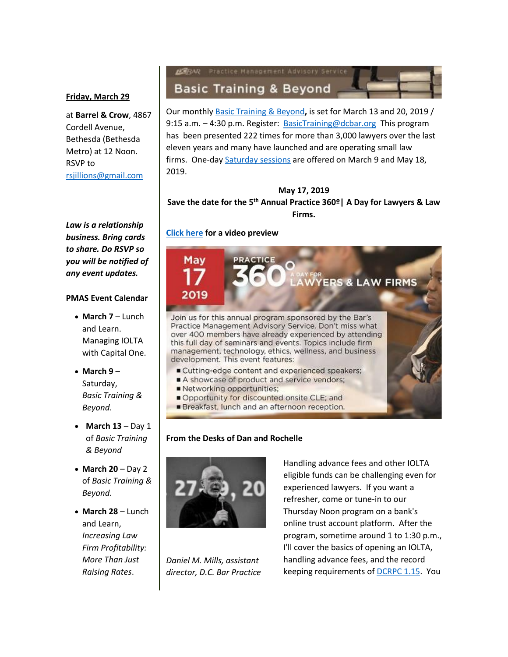### **Friday, March 29**

at **Barrel & Crow**, 4867 Cordell Avenue, Bethesda (Bethesda Metro) at 12 Noon. RSVP to [rsjillions@gmail.com](mailto:rsjillions@gmail.com)

*Law is a relationship business. Bring cards to share. Do RSVP so you will be notified of any event updates.*

#### **PMAS Event Calendar**

- **March 7** Lunch and Learn. Managing IOLTA with Capital One.
- **March 9** Saturday, *Basic Training & Beyond*.
- **March 13**  Day 1 of *Basic Training & Beyond*
- **March 20** Day 2 of *Basic Training & Beyond*.
- **March 28** Lunch and Learn, *Increasing Law Firm Profitability: More Than Just Raising Rates*.

**IEBAR** Practice Management Advisory Service **Basic Training & Beyond** 

Our monthl[y Basic Training & Beyond](http://www.mmsend31.com/link.cfm?r=nvs4hKlVbQmYRj0_i_v9vA~~&pe=dIWi-yyzAHZtXX_5WXlfu5R8fGxyYE_40IWxjyxMidikc3QEQqk_0xH7oxoY-23egk8anhXyVxtxK5CQN2xYYg~~&t=tRHHeR2UgeCCgM4DgutCsQ~~)**,** is set for March 13 and 20, 2019 / 9:15 a.m. - 4:30 p.m. Register: [BasicTraining@dcbar.org](mailto:BasicTraining@dcbar.org) This program has been presented 222 times for more than 3,000 lawyers over the last eleven years and many have launched and are operating small law firms. One-day [Saturday sessions](http://www.mmsend31.com/link.cfm?r=nvs4hKlVbQmYRj0_i_v9vA~~&pe=TluWNPOkijJHzL96vOjZrLFGq92EEVzQ94tLV1ynwcCMzwfmXM0a-jqVD-eblZMndp978P3TQGiQWMWsLRn_bA~~&t=tRHHeR2UgeCCgM4DgutCsQ~~) are offered on March 9 and May 18, 2019.

**May 17, 2019 Save the date for the 5th Annual Practice 360º| A Day for Lawyers & Law Firms.**

# **[Click here](http://www.mmsend31.com/link.cfm?r=nvs4hKlVbQmYRj0_i_v9vA~~&pe=mPRLC5afcZF7Bz50BxudSBMQMwSnAGvUI9VGzNA-npohwRR4DQEq0w1xUXOjLYklWj0fxhMWzx5nDxLgIshoOg~~&t=tRHHeR2UgeCCgM4DgutCsQ~~) for a video preview**



# **From the Desks of Dan and Rochelle**



*Daniel M. Mills, assistant director, D.C. Bar Practice* 

Handling advance fees and other IOLTA eligible funds can be challenging even for experienced lawyers. If you want a refresher, come or tune-in to our Thursday Noon program on a bank's online trust account platform. After the program, sometime around 1 to 1:30 p.m., I'll cover the basics of opening an IOLTA, handling advance fees, and the record keeping requirements of [DCRPC 1.15.](http://www.mmsend31.com/link.cfm?r=nvs4hKlVbQmYRj0_i_v9vA~~&pe=Q8I3kz8WhoF68d0KAUc_ANSKE85TFqSC0H1yBMzknESnVzRGWQ6a0HkB055u813xiSEMTFkU-SxcC1jRtiRMaw~~&t=tRHHeR2UgeCCgM4DgutCsQ~~) You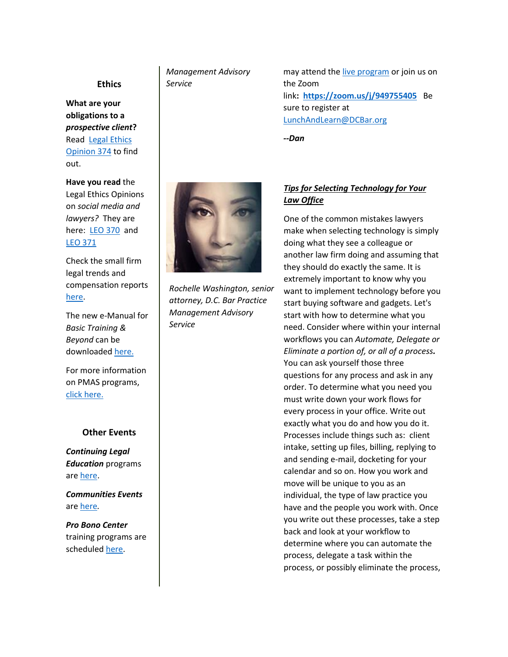#### **Ethics**

**What are your obligations to a**  *prospective client***?** Read [Legal Ethics](http://www.mmsend31.com/link.cfm?r=nvs4hKlVbQmYRj0_i_v9vA~~&pe=fgrovBBFIsRbIZOK7mC0nvUJavc3HgyP6BG88QzyKA4B9YkiAf1LV-4gVXzg2EZxGPTpdHPXIFwnHXh7LHgvdg~~&t=tRHHeR2UgeCCgM4DgutCsQ~~)  [Opinion 374](http://www.mmsend31.com/link.cfm?r=nvs4hKlVbQmYRj0_i_v9vA~~&pe=fgrovBBFIsRbIZOK7mC0nvUJavc3HgyP6BG88QzyKA4B9YkiAf1LV-4gVXzg2EZxGPTpdHPXIFwnHXh7LHgvdg~~&t=tRHHeR2UgeCCgM4DgutCsQ~~) to find out.

**Have you read** the Legal Ethics Opinions on *social media and lawyers?* They are here: [LEO 370](http://www.mmsend31.com/link.cfm?r=nvs4hKlVbQmYRj0_i_v9vA~~&pe=EGWuDETrnabhfMLdGogzEEj_G4J_JC8MHmE_9kGsMq7gkb7KO68PQwgUUfH8zWHL6qfuX3X0ax8nUaTcWeAVAA~~&t=tRHHeR2UgeCCgM4DgutCsQ~~) and [LEO 371](http://www.mmsend31.com/link.cfm?r=nvs4hKlVbQmYRj0_i_v9vA~~&pe=f9Qqz9Glg3KgtCjaD8EK5lTwExtxaRpRaX72PX843GMRkhAIRf-t0JmhzBYv_jC49XVuV-d154hlfPQ8SVRLHQ~~&t=tRHHeR2UgeCCgM4DgutCsQ~~)

Check the small firm legal trends and compensation reports [here.](http://www.mmsend31.com/link.cfm?r=nvs4hKlVbQmYRj0_i_v9vA~~&pe=AyWyexKjXpKW9qy3J6WU1jz-WI9x6rSS71U6Dp8kEoFwljB7hbWGmufBDQSZoyiunLC0SitqAlAGjfq1VYjvTA~~&t=tRHHeR2UgeCCgM4DgutCsQ~~)

The new e-Manual for *Basic Training & Beyond* can be downloaded [here.](http://www.mmsend31.com/link.cfm?r=nvs4hKlVbQmYRj0_i_v9vA~~&pe=JvzslgZcNdnT9jM9SM877WVeiSfL_6crkziHHHc52yC8vD9rQbCQQyD1247y45Y-SQBeG56yK8Z_RXbxaYF4LA~~&t=tRHHeR2UgeCCgM4DgutCsQ~~)

For more information on PMAS programs, [click here.](http://www.mmsend31.com/link.cfm?r=nvs4hKlVbQmYRj0_i_v9vA~~&pe=glIgWLTHg_5dxbz2tzRzby2kmhBIXINeXu8rKM3OFM5UzqQBXROPXFAYJol-RK286kdQykl_UFMwvch5yVFu0g~~&t=tRHHeR2UgeCCgM4DgutCsQ~~)

#### **Other Events**

*Continuing Legal Education* programs ar[e here.](http://www.mmsend31.com/link.cfm?r=nvs4hKlVbQmYRj0_i_v9vA~~&pe=_QY8KhHYAx0LLrwuJZz3cJ722qiRQAb5qURvnuAZC15bXr5-NEDgFrRweBGgkF3XAKhLNuMYX_ZuBbbJLag_Zg~~&t=tRHHeR2UgeCCgM4DgutCsQ~~)

*Communities Events* ar[e here](http://www.mmsend31.com/link.cfm?r=nvs4hKlVbQmYRj0_i_v9vA~~&pe=5Q94pqEGTJ5wCzuxQz4Fcb6IMeyGqai-6PxC-tIcDalBlyHIeh5gZG1R_VavXw4Ca8qPpHKO-LFj343-vSVOsA~~&t=tRHHeR2UgeCCgM4DgutCsQ~~)*.*

*Pro Bono Center* training programs are schedule[d here.](http://www.mmsend31.com/link.cfm?r=nvs4hKlVbQmYRj0_i_v9vA~~&pe=a7L159T8LbFbGqfsGNa68NV4hsmQcC38ar2v8_DfzPDepQEEvAPdSzTMM_Ag6ejPgvbFHWt2_CYh9J7ZHz_1YQ~~&t=tRHHeR2UgeCCgM4DgutCsQ~~)

*Management Advisory Service*

may attend th[e live program](http://www.mmsend31.com/link.cfm?r=nvs4hKlVbQmYRj0_i_v9vA~~&pe=zrKZIp-sJAYg7A6RlikoqTcYT0HnuviZFZlomcBhnj92zvDONzMeT51YiXEuRkFqpGcebx7eVk9IS8E7O-dscw~~&t=tRHHeR2UgeCCgM4DgutCsQ~~) or join us on the Zoom link**: [https://zoom.us/j/949755405](http://www.mmsend31.com/link.cfm?r=nvs4hKlVbQmYRj0_i_v9vA~~&pe=dk_oXGoYWd6HXh14vuFf7qhCWXwQZuRbm2e5B4LKRt_Mgr9dRg2dBvycH-D0PovA2_TqCQ3aOqF6KIozBmS6VA~~&t=tRHHeR2UgeCCgM4DgutCsQ~~)** Be sure to register at [LunchAndLearn@DCBar.org](mailto:LunchAndLearn@DCBar.org)

*--Dan*



*Rochelle Washington, senior attorney, D.C. Bar Practice Management Advisory Service*

# *Tips for Selecting Technology for Your Law Office*

One of the common mistakes lawyers make when selecting technology is simply doing what they see a colleague or another law firm doing and assuming that they should do exactly the same. It is extremely important to know why you want to implement technology before you start buying software and gadgets. Let's start with how to determine what you need. Consider where within your internal workflows you can *Automate, Delegate or Eliminate a portion of, or all of a process.* You can ask yourself those three questions for any process and ask in any order. To determine what you need you must write down your work flows for every process in your office. Write out exactly what you do and how you do it. Processes include things such as: client intake, setting up files, billing, replying to and sending e-mail, docketing for your calendar and so on. How you work and move will be unique to you as an individual, the type of law practice you have and the people you work with. Once you write out these processes, take a step back and look at your workflow to determine where you can automate the process, delegate a task within the process, or possibly eliminate the process,